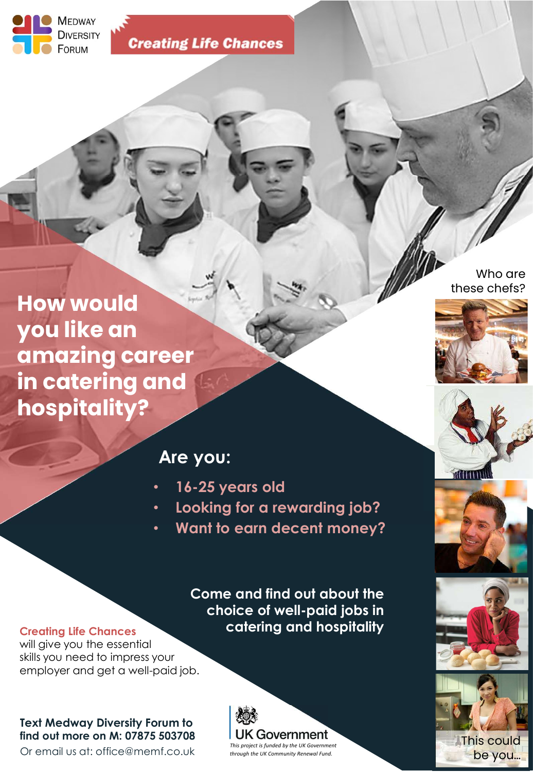

**Creating Life Chances** 

How would you like an amazing career in catering and hospitality?

# these chefs?

Who are



### Are you:

- 16-25 years old
- Looking for a rewarding job?
- Want to earn decent money?

Come and find out about the choice of well-paid jobs in catering and hospitality

#### Creating Life Chances

will give you the essential skills you need to impress your employer and get a well-paid job.

#### Text Medway Diversity Forum to find out more on M: 07875 503708

Or email us at: office@memf.co.uk